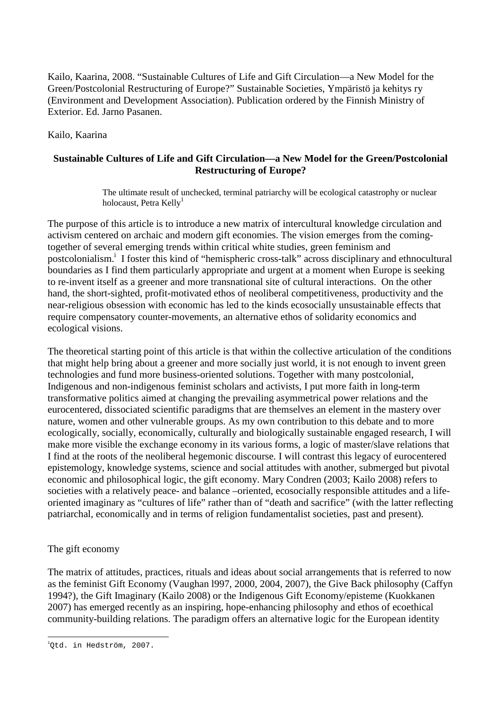Kailo, Kaarina, 2008. "Sustainable Cultures of Life and Gift Circulation—a New Model for the Green/Postcolonial Restructuring of Europe?" Sustainable Societies, Ympäristö ja kehitys ry (Environment and Development Association). Publication ordered by the Finnish Ministry of Exterior. Ed. Jarno Pasanen.

## Kailo, Kaarina

# **Sustainable Cultures of Life and Gift Circulation—a New Model for the Green/Postcolonial Restructuring of Europe?**

The ultimate result of unchecked, terminal patriarchy will be ecological catastrophy or nuclear holocaust, Petra Kelly<sup>1</sup>

The purpose of this article is to introduce a new matrix of intercultural knowledge circulation and activism centered on archaic and modern gift economies. The vision emerges from the comingtogether of several emerging trends within critical white studies, green feminism and postcolonialism.<sup>i</sup> I foster this kind of "hemispheric cross-talk" across disciplinary and ethnocultural boundaries as I find them particularly appropriate and urgent at a moment when Europe is seeking to re-invent itself as a greener and more transnational site of cultural interactions. On the other hand, the short-sighted, profit-motivated ethos of neoliberal competitiveness, productivity and the near-religious obsession with economic has led to the kinds ecosocially unsustainable effects that require compensatory counter-movements, an alternative ethos of solidarity economics and ecological visions.

The theoretical starting point of this article is that within the collective articulation of the conditions that might help bring about a greener and more socially just world, it is not enough to invent green technologies and fund more business-oriented solutions. Together with many postcolonial, Indigenous and non-indigenous feminist scholars and activists, I put more faith in long-term transformative politics aimed at changing the prevailing asymmetrical power relations and the eurocentered, dissociated scientific paradigms that are themselves an element in the mastery over nature, women and other vulnerable groups. As my own contribution to this debate and to more ecologically, socially, economically, culturally and biologically sustainable engaged research, I will make more visible the exchange economy in its various forms, a logic of master/slave relations that I find at the roots of the neoliberal hegemonic discourse. I will contrast this legacy of eurocentered epistemology, knowledge systems, science and social attitudes with another, submerged but pivotal economic and philosophical logic, the gift economy. Mary Condren (2003; Kailo 2008) refers to societies with a relatively peace- and balance –oriented, ecosocially responsible attitudes and a lifeoriented imaginary as "cultures of life" rather than of "death and sacrifice" (with the latter reflecting patriarchal, economically and in terms of religion fundamentalist societies, past and present).

# The gift economy

The matrix of attitudes, practices, rituals and ideas about social arrangements that is referred to now as the feminist Gift Economy (Vaughan l997, 2000, 2004, 2007), the Give Back philosophy (Caffyn 1994?), the Gift Imaginary (Kailo 2008) or the Indigenous Gift Economy/episteme (Kuokkanen 2007) has emerged recently as an inspiring, hope-enhancing philosophy and ethos of ecoethical community-building relations. The paradigm offers an alternative logic for the European identity

 $\overline{a}$ 1 Qtd. in Hedström, 2007.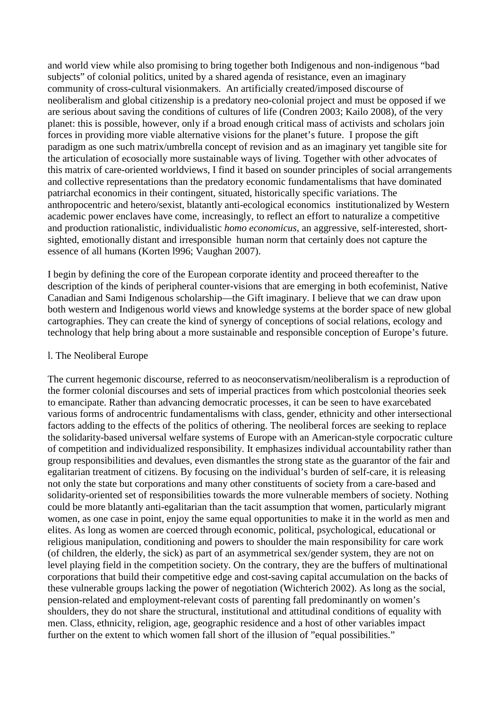and world view while also promising to bring together both Indigenous and non-indigenous "bad subjects" of colonial politics, united by a shared agenda of resistance, even an imaginary community of cross-cultural visionmakers. An artificially created/imposed discourse of neoliberalism and global citizenship is a predatory neo-colonial project and must be opposed if we are serious about saving the conditions of cultures of life (Condren 2003; Kailo 2008), of the very planet: this is possible, however, only if a broad enough critical mass of activists and scholars join forces in providing more viable alternative visions for the planet's future. I propose the gift paradigm as one such matrix/umbrella concept of revision and as an imaginary yet tangible site for the articulation of ecosocially more sustainable ways of living. Together with other advocates of this matrix of care-oriented worldviews, I find it based on sounder principles of social arrangements and collective representations than the predatory economic fundamentalisms that have dominated patriarchal economics in their contingent, situated, historically specific variations. The anthropocentric and hetero/sexist, blatantly anti-ecological economics institutionalized by Western academic power enclaves have come, increasingly, to reflect an effort to naturalize a competitive and production rationalistic, individualistic *homo economicus,* an aggressive, self-interested, shortsighted, emotionally distant and irresponsible human norm that certainly does not capture the essence of all humans (Korten l996; Vaughan 2007).

I begin by defining the core of the European corporate identity and proceed thereafter to the description of the kinds of peripheral counter-visions that are emerging in both ecofeminist, Native Canadian and Sami Indigenous scholarship—the Gift imaginary. I believe that we can draw upon both western and Indigenous world views and knowledge systems at the border space of new global cartographies. They can create the kind of synergy of conceptions of social relations, ecology and technology that help bring about a more sustainable and responsible conception of Europe's future.

### l. The Neoliberal Europe

The current hegemonic discourse, referred to as neoconservatism/neoliberalism is a reproduction of the former colonial discourses and sets of imperial practices from which postcolonial theories seek to emancipate. Rather than advancing democratic processes, it can be seen to have exarcebated various forms of androcentric fundamentalisms with class, gender, ethnicity and other intersectional factors adding to the effects of the politics of othering. The neoliberal forces are seeking to replace the solidarity-based universal welfare systems of Europe with an American-style corpocratic culture of competition and individualized responsibility. It emphasizes individual accountability rather than group responsibilities and devalues, even dismantles the strong state as the guarantor of the fair and egalitarian treatment of citizens. By focusing on the individual's burden of self-care, it is releasing not only the state but corporations and many other constituents of society from a care-based and solidarity-oriented set of responsibilities towards the more vulnerable members of society. Nothing could be more blatantly anti-egalitarian than the tacit assumption that women, particularly migrant women, as one case in point, enjoy the same equal opportunities to make it in the world as men and elites. As long as women are coerced through economic, political, psychological, educational or religious manipulation, conditioning and powers to shoulder the main responsibility for care work (of children, the elderly, the sick) as part of an asymmetrical sex/gender system, they are not on level playing field in the competition society. On the contrary, they are the buffers of multinational corporations that build their competitive edge and cost-saving capital accumulation on the backs of these vulnerable groups lacking the power of negotiation (Wichterich 2002). As long as the social, pension-related and employment-relevant costs of parenting fall predominantly on women's shoulders, they do not share the structural, institutional and attitudinal conditions of equality with men. Class, ethnicity, religion, age, geographic residence and a host of other variables impact further on the extent to which women fall short of the illusion of "equal possibilities."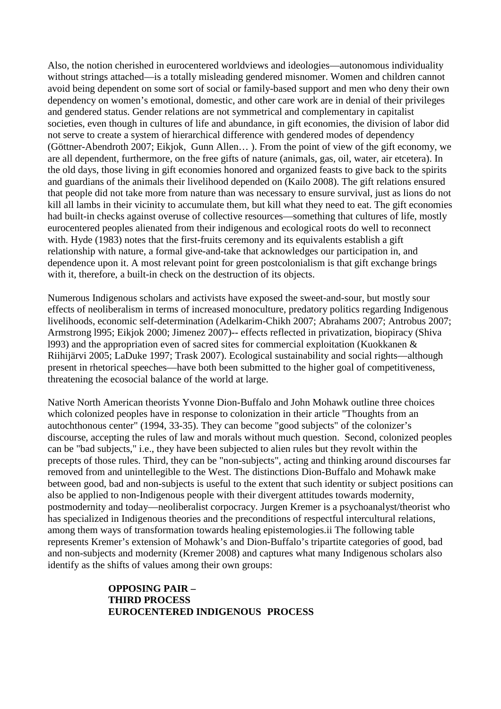Also, the notion cherished in eurocentered worldviews and ideologies—autonomous individuality without strings attached—is a totally misleading gendered misnomer. Women and children cannot avoid being dependent on some sort of social or family-based support and men who deny their own dependency on women's emotional, domestic, and other care work are in denial of their privileges and gendered status. Gender relations are not symmetrical and complementary in capitalist societies, even though in cultures of life and abundance, in gift economies, the division of labor did not serve to create a system of hierarchical difference with gendered modes of dependency (Göttner-Abendroth 2007; Eikjok, Gunn Allen… ). From the point of view of the gift economy, we are all dependent, furthermore, on the free gifts of nature (animals, gas, oil, water, air etcetera). In the old days, those living in gift economies honored and organized feasts to give back to the spirits and guardians of the animals their livelihood depended on (Kailo 2008). The gift relations ensured that people did not take more from nature than was necessary to ensure survival, just as lions do not kill all lambs in their vicinity to accumulate them, but kill what they need to eat. The gift economies had built-in checks against overuse of collective resources—something that cultures of life, mostly eurocentered peoples alienated from their indigenous and ecological roots do well to reconnect with. Hyde (1983) notes that the first-fruits ceremony and its equivalents establish a gift relationship with nature, a formal give-and-take that acknowledges our participation in, and dependence upon it. A most relevant point for green postcolonialism is that gift exchange brings with it, therefore, a built-in check on the destruction of its objects.

Numerous Indigenous scholars and activists have exposed the sweet-and-sour, but mostly sour effects of neoliberalism in terms of increased monoculture, predatory politics regarding Indigenous livelihoods, economic self-determination (Adelkarim-Chikh 2007; Abrahams 2007; Antrobus 2007; Armstrong l995; Eikjok 2000; Jimenez 2007)-- effects reflected in privatization, biopiracy (Shiva l993) and the appropriation even of sacred sites for commercial exploitation (Kuokkanen & Riihijärvi 2005; LaDuke 1997; Trask 2007). Ecological sustainability and social rights—although present in rhetorical speeches—have both been submitted to the higher goal of competitiveness, threatening the ecosocial balance of the world at large.

Native North American theorists Yvonne Dion-Buffalo and John Mohawk outline three choices which colonized peoples have in response to colonization in their article "Thoughts from an autochthonous center" (1994, 33-35). They can become "good subjects" of the colonizer's discourse, accepting the rules of law and morals without much question. Second, colonized peoples can be "bad subjects," i.e., they have been subjected to alien rules but they revolt within the precepts of those rules. Third, they can be "non-subjects", acting and thinking around discourses far removed from and unintellegible to the West. The distinctions Dion-Buffalo and Mohawk make between good, bad and non-subjects is useful to the extent that such identity or subject positions can also be applied to non-Indigenous people with their divergent attitudes towards modernity, postmodernity and today—neoliberalist corpocracy. Jurgen Kremer is a psychoanalyst/theorist who has specialized in Indigenous theories and the preconditions of respectful intercultural relations, among them ways of transformation towards healing epistemologies.ii The following table represents Kremer's extension of Mohawk's and Dion-Buffalo's tripartite categories of good, bad and non-subjects and modernity (Kremer 2008) and captures what many Indigenous scholars also identify as the shifts of values among their own groups:

> **OPPOSING PAIR – THIRD PROCESS EUROCENTERED INDIGENOUS PROCESS**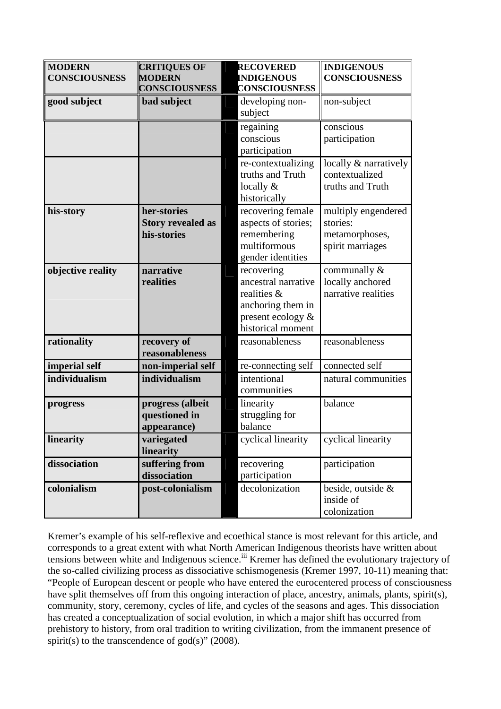| <b>MODERN</b><br><b>CONSCIOUSNESS</b> | <b>CRITIQUES OF</b><br><b>MODERN</b><br><b>CONSCIOUSNESS</b> | <b>RECOVERED</b><br><b>INDIGENOUS</b><br><b>CONSCIOUSNESS</b>                                                   | <b>INDIGENOUS</b><br><b>CONSCIOUSNESS</b>                             |
|---------------------------------------|--------------------------------------------------------------|-----------------------------------------------------------------------------------------------------------------|-----------------------------------------------------------------------|
| good subject                          | bad subject                                                  | developing non-<br>subject                                                                                      | non-subject                                                           |
|                                       |                                                              | regaining<br>conscious<br>participation                                                                         | conscious<br>participation                                            |
|                                       |                                                              | re-contextualizing<br>truths and Truth<br>locally $&$<br>historically                                           | locally & narratively<br>contextualized<br>truths and Truth           |
| his-story                             | her-stories<br><b>Story revealed as</b><br>his-stories       | recovering female<br>aspects of stories;<br>remembering<br>multiformous<br>gender identities                    | multiply engendered<br>stories:<br>metamorphoses,<br>spirit marriages |
| objective reality                     | narrative<br>realities                                       | recovering<br>ancestral narrative<br>realities &<br>anchoring them in<br>present ecology &<br>historical moment | communally &<br>locally anchored<br>narrative realities               |
| rationality                           | recovery of<br>reasonableness                                | reasonableness                                                                                                  | reasonableness                                                        |
| imperial self                         | non-imperial self                                            | re-connecting self                                                                                              | connected self                                                        |
| individualism                         | individualism                                                | intentional<br>communities                                                                                      | natural communities                                                   |
| progress                              | progress (albeit<br>questioned in<br>appearance)             | linearity<br>struggling for<br>balance                                                                          | balance                                                               |
| linearity                             | variegated<br>linearity                                      | cyclical linearity                                                                                              | cyclical linearity                                                    |
| dissociation                          | suffering from<br>dissociation                               | recovering<br>participation                                                                                     | participation                                                         |
| colonialism                           | post-colonialism                                             | decolonization                                                                                                  | beside, outside &<br>inside of<br>colonization                        |

Kremer's example of his self-reflexive and ecoethical stance is most relevant for this article, and corresponds to a great extent with what North American Indigenous theorists have written about tensions between white and Indigenous science.<sup>iii</sup> Kremer has defined the evolutionary trajectory of the so-called civilizing process as dissociative schismogenesis (Kremer 1997, 10-11) meaning that: "People of European descent or people who have entered the eurocentered process of consciousness have split themselves off from this ongoing interaction of place, ancestry, animals, plants, spirit(s), community, story, ceremony, cycles of life, and cycles of the seasons and ages. This dissociation has created a conceptualization of social evolution, in which a major shift has occurred from prehistory to history, from oral tradition to writing civilization, from the immanent presence of spirit(s) to the transcendence of god(s)"  $(2008)$ .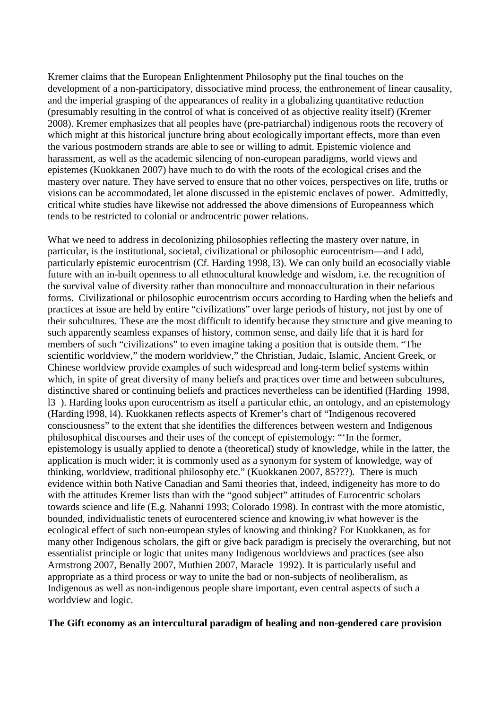Kremer claims that the European Enlightenment Philosophy put the final touches on the development of a non-participatory, dissociative mind process, the enthronement of linear causality, and the imperial grasping of the appearances of reality in a globalizing quantitative reduction (presumably resulting in the control of what is conceived of as objective reality itself) (Kremer 2008). Kremer emphasizes that all peoples have (pre-patriarchal) indigenous roots the recovery of which might at this historical juncture bring about ecologically important effects, more than even the various postmodern strands are able to see or willing to admit. Epistemic violence and harassment, as well as the academic silencing of non-european paradigms, world views and epistemes (Kuokkanen 2007) have much to do with the roots of the ecological crises and the mastery over nature. They have served to ensure that no other voices, perspectives on life, truths or visions can be accommodated, let alone discussed in the epistemic enclaves of power. Admittedly, critical white studies have likewise not addressed the above dimensions of Europeanness which tends to be restricted to colonial or androcentric power relations.

What we need to address in decolonizing philosophies reflecting the mastery over nature, in particular, is the institutional, societal, civilizational or philosophic eurocentrism—and I add, particularly epistemic eurocentrism (Cf. Harding 1998, l3). We can only build an ecosocially viable future with an in-built openness to all ethnocultural knowledge and wisdom, i.e. the recognition of the survival value of diversity rather than monoculture and monoacculturation in their nefarious forms. Civilizational or philosophic eurocentrism occurs according to Harding when the beliefs and practices at issue are held by entire "civilizations" over large periods of history, not just by one of their subcultures. These are the most difficult to identify because they structure and give meaning to such apparently seamless expanses of history, common sense, and daily life that it is hard for members of such "civilizations" to even imagine taking a position that is outside them. "The scientific worldview," the modern worldview," the Christian, Judaic, Islamic, Ancient Greek, or Chinese worldview provide examples of such widespread and long-term belief systems within which, in spite of great diversity of many beliefs and practices over time and between subcultures, distinctive shared or continuing beliefs and practices nevertheless can be identified (Harding 1998, l3 ). Harding looks upon eurocentrism as itself a particular ethic, an ontology, and an epistemology (Harding l998, l4). Kuokkanen reflects aspects of Kremer's chart of "Indigenous recovered consciousness" to the extent that she identifies the differences between western and Indigenous philosophical discourses and their uses of the concept of epistemology: "'In the former, epistemology is usually applied to denote a (theoretical) study of knowledge, while in the latter, the application is much wider; it is commonly used as a synonym for system of knowledge, way of thinking, worldview, traditional philosophy etc." (Kuokkanen 2007, 85???). There is much evidence within both Native Canadian and Sami theories that, indeed, indigeneity has more to do with the attitudes Kremer lists than with the "good subject" attitudes of Eurocentric scholars towards science and life (E.g. Nahanni 1993; Colorado 1998). In contrast with the more atomistic, bounded, individualistic tenets of eurocentered science and knowing,iv what however is the ecological effect of such non-european styles of knowing and thinking? For Kuokkanen, as for many other Indigenous scholars, the gift or give back paradigm is precisely the overarching, but not essentialist principle or logic that unites many Indigenous worldviews and practices (see also Armstrong 2007, Benally 2007, Muthien 2007, Maracle 1992). It is particularly useful and appropriate as a third process or way to unite the bad or non-subjects of neoliberalism, as Indigenous as well as non-indigenous people share important, even central aspects of such a worldview and logic.

### **The Gift economy as an intercultural paradigm of healing and non-gendered care provision**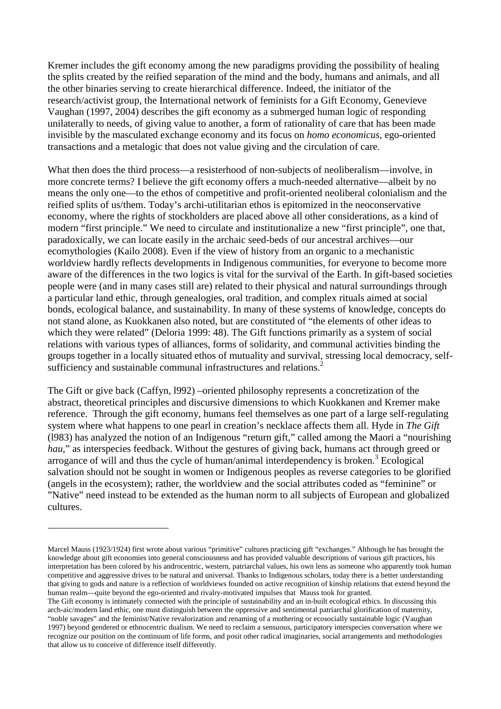Kremer includes the gift economy among the new paradigms providing the possibility of healing the splits created by the reified separation of the mind and the body, humans and animals, and all the other binaries serving to create hierarchical difference. Indeed, the initiator of the research/activist group, the International network of feminists for a Gift Economy, Genevieve Vaughan (1997, 2004) describes the gift economy as a submerged human logic of responding unilaterally to needs, of giving value to another, a form of rationality of care that has been made invisible by the masculated exchange economy and its focus on *homo economicus*, ego-oriented transactions and a metalogic that does not value giving and the circulation of care.

What then does the third process—a resisterhood of non-subjects of neoliberalism—involve, in more concrete terms? I believe the gift economy offers a much-needed alternative—albeit by no means the only one—to the ethos of competitive and profit-oriented neoliberal colonialism and the reified splits of us/them. Today's archi-utilitarian ethos is epitomized in the neoconservative economy, where the rights of stockholders are placed above all other considerations, as a kind of modern "first principle." We need to circulate and institutionalize a new "first principle", one that, paradoxically, we can locate easily in the archaic seed-beds of our ancestral archives—our ecomythologies (Kailo 2008). Even if the view of history from an organic to a mechanistic worldview hardly reflects developments in Indigenous communities, for everyone to become more aware of the differences in the two logics is vital for the survival of the Earth. In gift-based societies people were (and in many cases still are) related to their physical and natural surroundings through a particular land ethic, through genealogies, oral tradition, and complex rituals aimed at social bonds, ecological balance, and sustainability. In many of these systems of knowledge, concepts do not stand alone, as Kuokkanen also noted, but are constituted of "the elements of other ideas to which they were related" (Deloria 1999: 48). The Gift functions primarily as a system of social relations with various types of alliances, forms of solidarity, and communal activities binding the groups together in a locally situated ethos of mutuality and survival, stressing local democracy, selfsufficiency and sustainable communal infrastructures and relations.<sup>2</sup>

The Gift or give back (Caffyn, l992) –oriented philosophy represents a concretization of the abstract, theoretical principles and discursive dimensions to which Kuokkanen and Kremer make reference. Through the gift economy, humans feel themselves as one part of a large self-regulating system where what happens to one pearl in creation's necklace affects them all. Hyde in *The Gift* (l983) has analyzed the notion of an Indigenous "return gift," called among the Maori a "nourishing *hau*," as interspecies feedback. Without the gestures of giving back, humans act through greed or arrogance of will and thus the cycle of human/animal interdependency is broken.<sup>3</sup> Ecological salvation should not be sought in women or Indigenous peoples as reverse categories to be glorified (angels in the ecosystem); rather, the worldview and the social attributes coded as "feminine" or "Native" need instead to be extended as the human norm to all subjects of European and globalized cultures.

 $\overline{a}$ 

Marcel Mauss (1923/1924) first wrote about various "primitive" cultures practicing gift "exchanges." Although he has brought the knowledge about gift economies into general consciousness and has provided valuable descriptions of various gift practices, his interpretation has been colored by his androcentric, western, patriarchal values, his own lens as someone who apparently took human competitive and aggressive drives to be natural and universal. Thanks to Indigenous scholars, today there is a better understanding that giving to gods and nature is a reflection of worldviews founded on active recognition of kinship relations that extend beyond the human realm—quite beyond the ego-oriented and rivalry-motivated impulses that Mauss took for granted.

The Gift economy is intimately connected with the principle of sustainability and an in-built ecological ethics. In discussing this arch-aic/modern land ethic, one must distinguish between the oppressive and sentimental patriarchal glorification of maternity, "noble savages" and the feminist/Native revalorization and renaming of a mothering or ecosocially sustainable logic (Vaughan 1997) beyond gendered or ethnocentric dualism. We need to reclaim a sensuous, participatory interspecies conversation where we recognize our position on the continuum of life forms, and posit other radical imaginaries, social arrangements and methodologies that allow us to conceive of difference itself differently.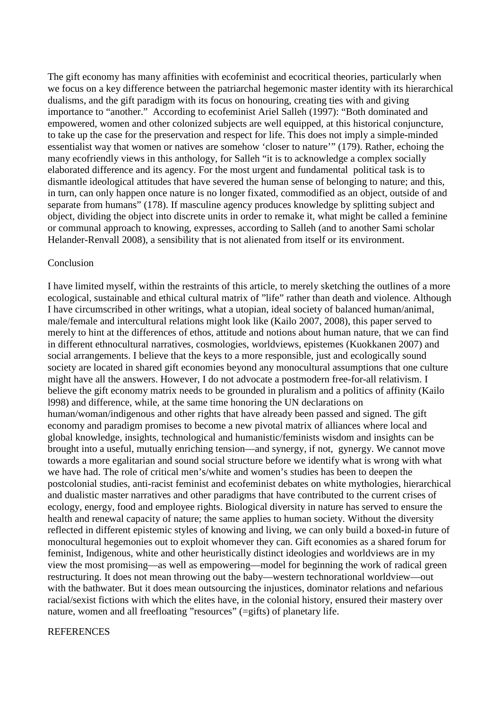The gift economy has many affinities with ecofeminist and ecocritical theories, particularly when we focus on a key difference between the patriarchal hegemonic master identity with its hierarchical dualisms, and the gift paradigm with its focus on honouring, creating ties with and giving importance to "another." According to ecofeminist Ariel Salleh (1997): "Both dominated and empowered, women and other colonized subjects are well equipped, at this historical conjuncture, to take up the case for the preservation and respect for life. This does not imply a simple-minded essentialist way that women or natives are somehow 'closer to nature'" (179). Rather, echoing the many ecofriendly views in this anthology, for Salleh "it is to acknowledge a complex socially elaborated difference and its agency. For the most urgent and fundamental political task is to dismantle ideological attitudes that have severed the human sense of belonging to nature; and this, in turn, can only happen once nature is no longer fixated, commodified as an object, outside of and separate from humans" (178). If masculine agency produces knowledge by splitting subject and object, dividing the object into discrete units in order to remake it, what might be called a feminine or communal approach to knowing, expresses, according to Salleh (and to another Sami scholar Helander-Renvall 2008), a sensibility that is not alienated from itself or its environment.

#### Conclusion

I have limited myself, within the restraints of this article, to merely sketching the outlines of a more ecological, sustainable and ethical cultural matrix of "life" rather than death and violence. Although I have circumscribed in other writings, what a utopian, ideal society of balanced human/animal, male/female and intercultural relations might look like (Kailo 2007, 2008), this paper served to merely to hint at the differences of ethos, attitude and notions about human nature, that we can find in different ethnocultural narratives, cosmologies, worldviews, epistemes (Kuokkanen 2007) and social arrangements. I believe that the keys to a more responsible, just and ecologically sound society are located in shared gift economies beyond any monocultural assumptions that one culture might have all the answers. However, I do not advocate a postmodern free-for-all relativism. I believe the gift economy matrix needs to be grounded in pluralism and a politics of affinity (Kailo l998) and difference, while, at the same time honoring the UN declarations on human/woman/indigenous and other rights that have already been passed and signed. The gift economy and paradigm promises to become a new pivotal matrix of alliances where local and global knowledge, insights, technological and humanistic/feminists wisdom and insights can be brought into a useful, mutually enriching tension—and synergy, if not, gynergy. We cannot move towards a more egalitarian and sound social structure before we identify what is wrong with what we have had. The role of critical men's/white and women's studies has been to deepen the postcolonial studies, anti-racist feminist and ecofeminist debates on white mythologies, hierarchical and dualistic master narratives and other paradigms that have contributed to the current crises of ecology, energy, food and employee rights. Biological diversity in nature has served to ensure the health and renewal capacity of nature; the same applies to human society. Without the diversity reflected in different epistemic styles of knowing and living, we can only build a boxed-in future of monocultural hegemonies out to exploit whomever they can. Gift economies as a shared forum for feminist, Indigenous, white and other heuristically distinct ideologies and worldviews are in my view the most promising—as well as empowering—model for beginning the work of radical green restructuring. It does not mean throwing out the baby—western technorational worldview—out with the bathwater. But it does mean outsourcing the injustices, dominator relations and nefarious racial/sexist fictions with which the elites have, in the colonial history, ensured their mastery over nature, women and all freefloating "resources" (=gifts) of planetary life.

### **REFERENCES**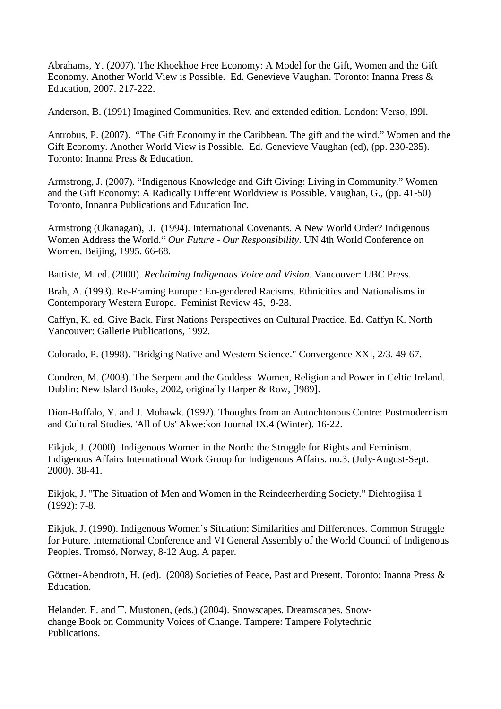Abrahams, Y. (2007). The Khoekhoe Free Economy: A Model for the Gift, Women and the Gift Economy. Another World View is Possible. Ed. Genevieve Vaughan. Toronto: Inanna Press & Education, 2007. 217-222.

Anderson, B. (1991) Imagined Communities. Rev. and extended edition. London: Verso, l99l.

Antrobus, P. (2007). "The Gift Economy in the Caribbean. The gift and the wind." Women and the Gift Economy. Another World View is Possible. Ed. Genevieve Vaughan (ed), (pp. 230-235). Toronto: Inanna Press & Education.

Armstrong, J. (2007). "Indigenous Knowledge and Gift Giving: Living in Community." Women and the Gift Economy: A Radically Different Worldview is Possible. Vaughan, G., (pp. 41-50) Toronto, Innanna Publications and Education Inc.

Armstrong (Okanagan), J. (1994). International Covenants. A New World Order? Indigenous Women Address the World." *Our Future - Our Responsibility*. UN 4th World Conference on Women. Beijing, 1995. 66-68.

Battiste, M. ed. (2000). *Reclaiming Indigenous Voice and Vision*. Vancouver: UBC Press.

 Brah, A. (1993). Re-Framing Europe : En-gendered Racisms. Ethnicities and Nationalisms in Contemporary Western Europe. Feminist Review 45, 9-28.

Caffyn, K. ed. Give Back. First Nations Perspectives on Cultural Practice. Ed. Caffyn K. North Vancouver: Gallerie Publications, 1992.

Colorado, P. (1998). "Bridging Native and Western Science." Convergence XXI, 2/3. 49-67.

Condren, M. (2003). The Serpent and the Goddess. Women, Religion and Power in Celtic Ireland. Dublin: New Island Books, 2002, originally Harper & Row, [l989].

Dion-Buffalo, Y. and J. Mohawk. (1992). Thoughts from an Autochtonous Centre: Postmodernism and Cultural Studies. 'All of Us' Akwe:kon Journal IX.4 (Winter). 16-22.

Eikjok, J. (2000). Indigenous Women in the North: the Struggle for Rights and Feminism. Indigenous Affairs International Work Group for Indigenous Affairs. no.3. (July-August-Sept. 2000). 38-41.

Eikjok, J. "The Situation of Men and Women in the Reindeerherding Society." Diehtogiisa 1 (1992): 7-8.

Eikjok, J. (1990). Indigenous Women´s Situation: Similarities and Differences. Common Struggle for Future. International Conference and VI General Assembly of the World Council of Indigenous Peoples. Tromsö, Norway, 8-12 Aug. A paper.

Göttner-Abendroth, H. (ed). (2008) Societies of Peace, Past and Present. Toronto: Inanna Press & Education.

Helander, E. and T. Mustonen, (eds.) (2004). Snowscapes. Dreamscapes. Snowchange Book on Community Voices of Change. Tampere: Tampere Polytechnic Publications.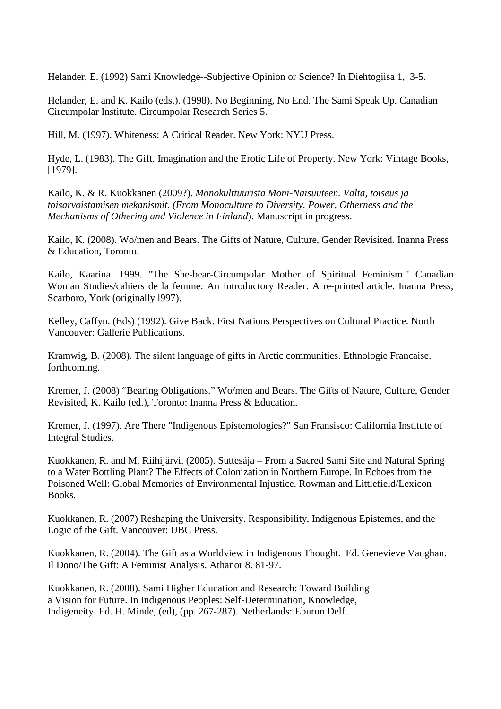Helander, E. (1992) Sami Knowledge--Subjective Opinion or Science? In Diehtogiisa 1, 3-5.

Helander, E. and K. Kailo (eds.). (1998). No Beginning, No End. The Sami Speak Up. Canadian Circumpolar Institute. Circumpolar Research Series 5.

Hill, M. (1997). Whiteness: A Critical Reader. New York: NYU Press.

Hyde, L. (1983). The Gift. Imagination and the Erotic Life of Property. New York: Vintage Books, [1979].

Kailo, K. & R. Kuokkanen (2009?). *Monokulttuurista Moni-Naisuuteen. Valta, toiseus ja toisarvoistamisen mekanismit. (From Monoculture to Diversity. Power, Otherness and the Mechanisms of Othering and Violence in Finland*). Manuscript in progress.

Kailo, K. (2008). Wo/men and Bears. The Gifts of Nature, Culture, Gender Revisited. Inanna Press & Education, Toronto.

Kailo, Kaarina. 1999. "The She-bear-Circumpolar Mother of Spiritual Feminism." Canadian Woman Studies/cahiers de la femme: An Introductory Reader. A re-printed article. Inanna Press, Scarboro, York (originally l997).

Kelley, Caffyn. (Eds) (1992). Give Back. First Nations Perspectives on Cultural Practice. North Vancouver: Gallerie Publications.

Kramwig, B. (2008). The silent language of gifts in Arctic communities. Ethnologie Francaise. forthcoming.

Kremer, J. (2008) "Bearing Obligations." Wo/men and Bears. The Gifts of Nature, Culture, Gender Revisited, K. Kailo (ed.), Toronto: Inanna Press & Education.

Kremer, J. (1997). Are There "Indigenous Epistemologies?" San Fransisco: California Institute of Integral Studies.

Kuokkanen, R. and M. Riihijärvi. (2005). Suttesája – From a Sacred Sami Site and Natural Spring to a Water Bottling Plant? The Effects of Colonization in Northern Europe. In Echoes from the Poisoned Well: Global Memories of Environmental Injustice. Rowman and Littlefield/Lexicon Books.

Kuokkanen, R. (2007) Reshaping the University. Responsibility, Indigenous Epistemes, and the Logic of the Gift. Vancouver: UBC Press.

Kuokkanen, R. (2004). The Gift as a Worldview in Indigenous Thought. Ed. Genevieve Vaughan. Il Dono/The Gift: A Feminist Analysis. Athanor 8. 81-97.

Kuokkanen, R. (2008). Sami Higher Education and Research: Toward Building a Vision for Future. In Indigenous Peoples: Self-Determination, Knowledge, Indigeneity. Ed. H. Minde, (ed), (pp. 267-287). Netherlands: Eburon Delft.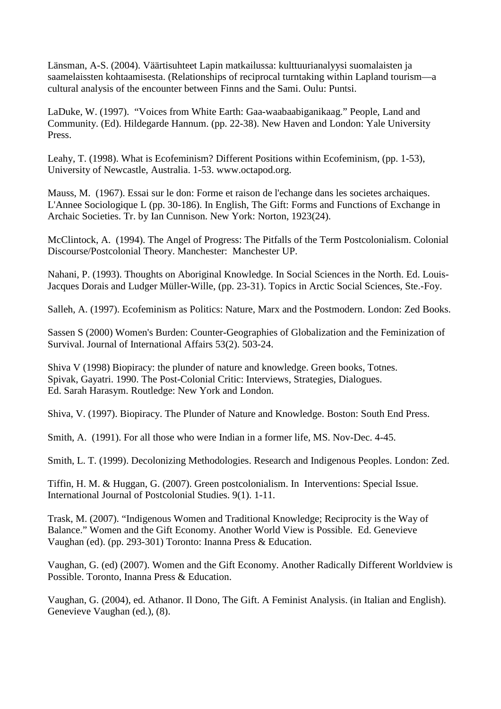Länsman, A-S. (2004). Väärtisuhteet Lapin matkailussa: kulttuurianalyysi suomalaisten ja saamelaissten kohtaamisesta. (Relationships of reciprocal turntaking within Lapland tourism—a cultural analysis of the encounter between Finns and the Sami. Oulu: Puntsi.

LaDuke, W. (1997). "Voices from White Earth: Gaa-waabaabiganikaag." People, Land and Community. (Ed). Hildegarde Hannum. (pp. 22-38). New Haven and London: Yale University Press.

Leahy, T. (1998). What is Ecofeminism? Different Positions within Ecofeminism, (pp. 1-53), University of Newcastle, Australia. 1-53. www.octapod.org.

Mauss, M. (1967). Essai sur le don: Forme et raison de l'echange dans les societes archaiques. L'Annee Sociologique L (pp. 30-186). In English, The Gift: Forms and Functions of Exchange in Archaic Societies. Tr. by Ian Cunnison. New York: Norton, 1923(24).

McClintock, A. (1994). The Angel of Progress: The Pitfalls of the Term Postcolonialism. Colonial Discourse/Postcolonial Theory. Manchester: Manchester UP.

Nahani, P. (1993). Thoughts on Aboriginal Knowledge. In Social Sciences in the North. Ed. Louis-Jacques Dorais and Ludger Müller-Wille, (pp. 23-31). Topics in Arctic Social Sciences, Ste.-Foy.

Salleh, A. (1997). Ecofeminism as Politics: Nature, Marx and the Postmodern. London: Zed Books.

Sassen S (2000) Women's Burden: Counter-Geographies of Globalization and the Feminization of Survival. Journal of International Affairs 53(2). 503-24.

Shiva V (1998) Biopiracy: the plunder of nature and knowledge. Green books, Totnes. Spivak, Gayatri. 1990. The Post-Colonial Critic: Interviews, Strategies, Dialogues. Ed. Sarah Harasym. Routledge: New York and London.

Shiva, V. (1997). Biopiracy. The Plunder of Nature and Knowledge. Boston: South End Press.

Smith, A. (1991). For all those who were Indian in a former life, MS. Nov-Dec. 4-45.

Smith, L. T. (1999). Decolonizing Methodologies. Research and Indigenous Peoples. London: Zed.

Tiffin, H. M. & Huggan, G. (2007). Green postcolonialism. In Interventions: Special Issue. International Journal of Postcolonial Studies. 9(1). 1-11.

Trask, M. (2007). "Indigenous Women and Traditional Knowledge; Reciprocity is the Way of Balance." Women and the Gift Economy. Another World View is Possible. Ed. Genevieve Vaughan (ed). (pp. 293-301) Toronto: Inanna Press & Education.

Vaughan, G. (ed) (2007). Women and the Gift Economy. Another Radically Different Worldview is Possible. Toronto, Inanna Press & Education.

Vaughan, G. (2004), ed. Athanor. Il Dono, The Gift. A Feminist Analysis. (in Italian and English). Genevieve Vaughan (ed.), (8).